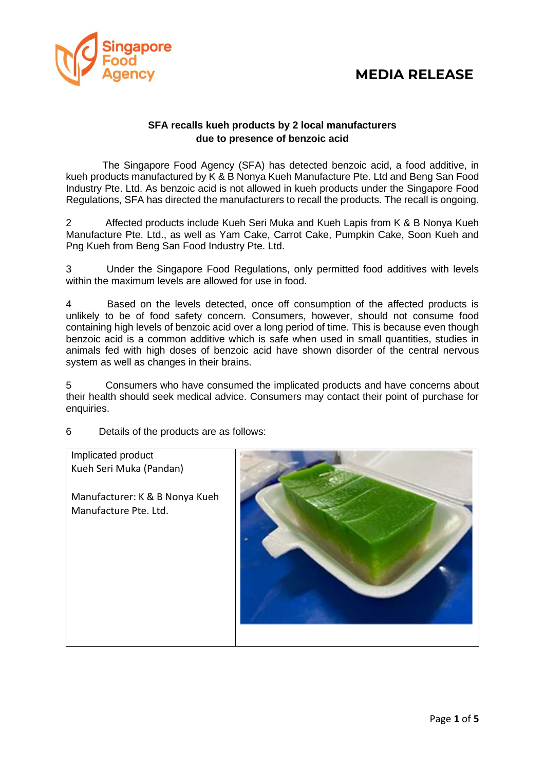

#### **SFA recalls kueh products by 2 local manufacturers due to presence of benzoic acid**

The Singapore Food Agency (SFA) has detected benzoic acid, a food additive, in kueh products manufactured by K & B Nonya Kueh Manufacture Pte. Ltd and Beng San Food Industry Pte. Ltd. As benzoic acid is not allowed in kueh products under the Singapore Food Regulations, SFA has directed the manufacturers to recall the products. The recall is ongoing.

2 Affected products include Kueh Seri Muka and Kueh Lapis from K & B Nonya Kueh Manufacture Pte. Ltd., as well as Yam Cake, Carrot Cake, Pumpkin Cake, Soon Kueh and Png Kueh from Beng San Food Industry Pte. Ltd.

3 Under the Singapore Food Regulations, only permitted food additives with levels within the maximum levels are allowed for use in food.

4 Based on the levels detected, once off consumption of the affected products is unlikely to be of food safety concern. Consumers, however, should not consume food containing high levels of benzoic acid over a long period of time. This is because even though benzoic acid is a common additive which is safe when used in small quantities, studies in animals fed with high doses of benzoic acid have shown disorder of the central nervous system as well as changes in their brains.

5 Consumers who have consumed the implicated products and have concerns about their health should seek medical advice. Consumers may contact their point of purchase for enquiries.

6 Details of the products are as follows:

Implicated product Kueh Seri Muka (Pandan) Manufacturer: K & B Nonya Kueh Manufacture Pte. Ltd.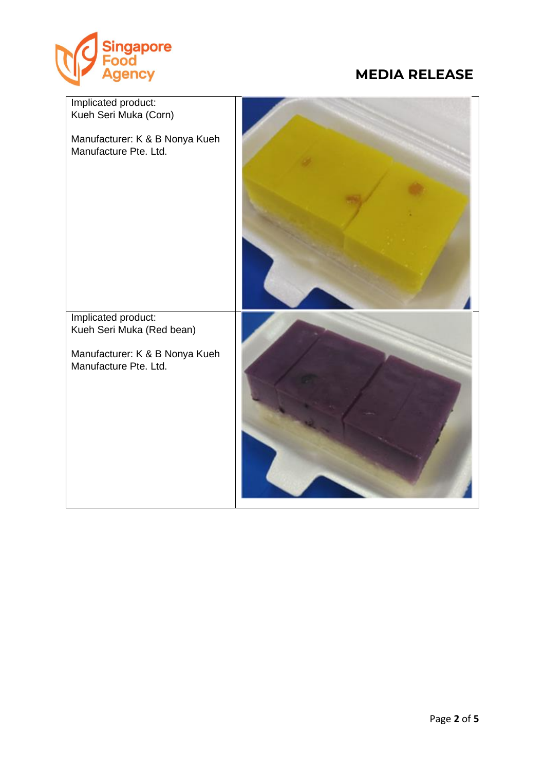

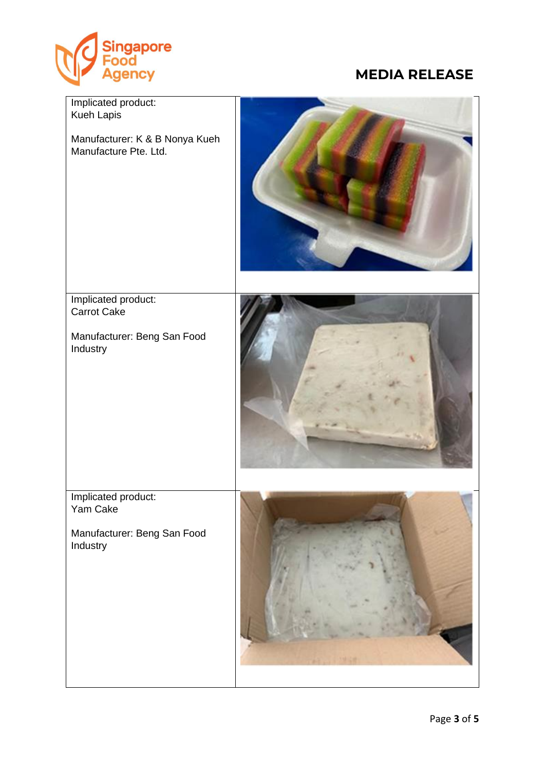

| Implicated product:<br>Kueh Lapis<br>Manufacturer: K & B Nonya Kueh<br>Manufacture Pte. Ltd. |  |
|----------------------------------------------------------------------------------------------|--|
| Implicated product:<br>Carrot Cake<br>Manufacturer: Beng San Food<br>Industry                |  |
| Implicated product:<br>Yam Cake<br>Manufacturer: Beng San Food<br>Industry                   |  |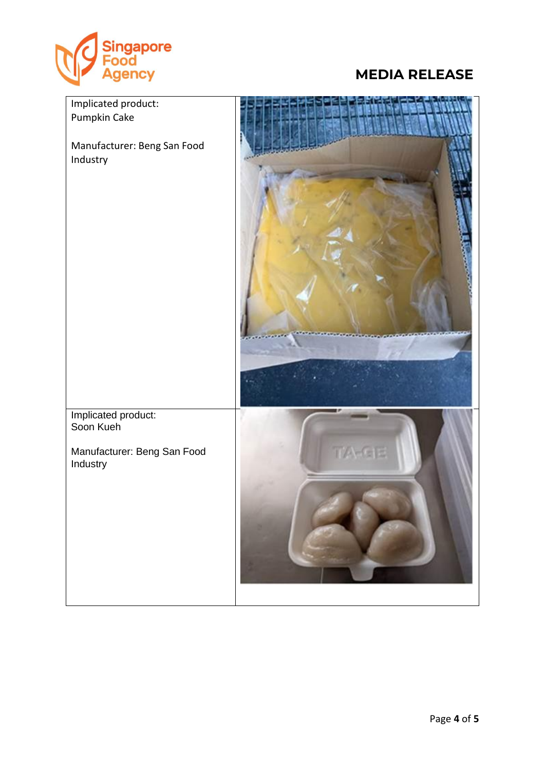